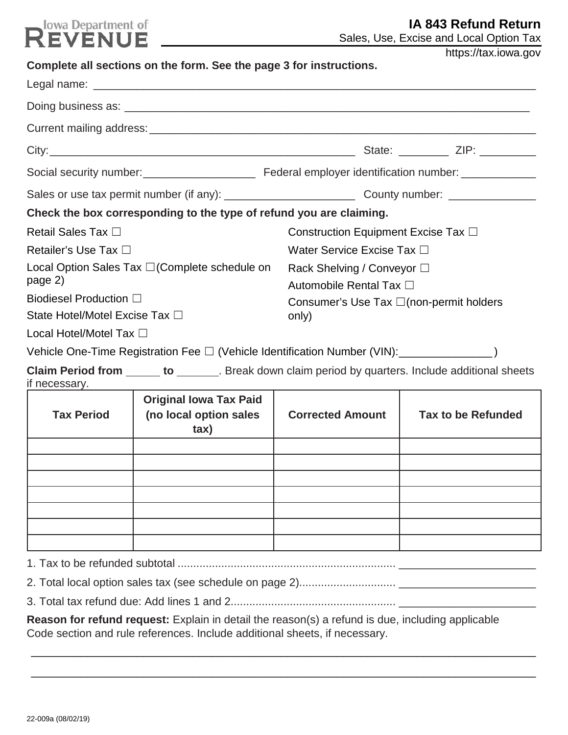# **Read Department of**

| Sales, Use, Excise and Local Option Tax |  |
|-----------------------------------------|--|
|-----------------------------------------|--|

|                                                                   | Complete all sections on the form. See the page 3 for instructions.                                 |                                                       | https://tax.iowa.gov      |  |  |
|-------------------------------------------------------------------|-----------------------------------------------------------------------------------------------------|-------------------------------------------------------|---------------------------|--|--|
|                                                                   |                                                                                                     |                                                       |                           |  |  |
|                                                                   |                                                                                                     |                                                       |                           |  |  |
|                                                                   |                                                                                                     |                                                       |                           |  |  |
|                                                                   |                                                                                                     |                                                       |                           |  |  |
|                                                                   |                                                                                                     |                                                       |                           |  |  |
|                                                                   |                                                                                                     |                                                       |                           |  |  |
|                                                                   | Check the box corresponding to the type of refund you are claiming.                                 |                                                       |                           |  |  |
| <b>Retail Sales Tax</b> □                                         |                                                                                                     | Construction Equipment Excise Tax □                   |                           |  |  |
| Retailer's Use Tax □                                              |                                                                                                     | Water Service Excise Tax □                            |                           |  |  |
| Local Option Sales Tax $\square$ (Complete schedule on<br>page 2) |                                                                                                     | Rack Shelving / Conveyor □<br>Automobile Rental Tax □ |                           |  |  |
| <b>Biodiesel Production</b> □                                     |                                                                                                     | Consumer's Use Tax $\square$ (non-permit holders      |                           |  |  |
| State Hotel/Motel Excise Tax □                                    |                                                                                                     | only)                                                 |                           |  |  |
| Local Hotel/Motel Tax □                                           |                                                                                                     |                                                       |                           |  |  |
|                                                                   | Vehicle One-Time Registration Fee □ (Vehicle Identification Number (VIN): ________________________) |                                                       |                           |  |  |
| if necessary.                                                     | Claim Period from ______ to _______. Break down claim period by quarters. Include additional sheets |                                                       |                           |  |  |
| <b>Tax Period</b>                                                 | <b>Original Iowa Tax Paid</b><br>(no local option sales<br>tax)                                     | <b>Corrected Amount</b>                               | <b>Tax to be Refunded</b> |  |  |
|                                                                   |                                                                                                     |                                                       |                           |  |  |
|                                                                   |                                                                                                     |                                                       |                           |  |  |
|                                                                   |                                                                                                     |                                                       |                           |  |  |
|                                                                   |                                                                                                     |                                                       |                           |  |  |
|                                                                   |                                                                                                     |                                                       |                           |  |  |
|                                                                   |                                                                                                     |                                                       |                           |  |  |
|                                                                   |                                                                                                     |                                                       |                           |  |  |
|                                                                   |                                                                                                     |                                                       |                           |  |  |

3. Total tax refund due: Add lines 1 and 2..................................................... \_\_\_\_\_\_\_\_\_\_\_\_\_\_\_\_\_\_\_\_\_\_ **Reason for refund request:** Explain in detail the reason(s) a refund is due, including applicable

Code section and rule references. Include additional sheets, if necessary.

\_\_\_\_\_\_\_\_\_\_\_\_\_\_\_\_\_\_\_\_\_\_\_\_\_\_\_\_\_\_\_\_\_\_\_\_\_\_\_\_\_\_\_\_\_\_\_\_\_\_\_\_\_\_\_\_\_\_\_\_\_\_\_\_\_\_\_\_\_\_\_\_\_\_\_\_\_\_\_\_\_

\_\_\_\_\_\_\_\_\_\_\_\_\_\_\_\_\_\_\_\_\_\_\_\_\_\_\_\_\_\_\_\_\_\_\_\_\_\_\_\_\_\_\_\_\_\_\_\_\_\_\_\_\_\_\_\_\_\_\_\_\_\_\_\_\_\_\_\_\_\_\_\_\_\_\_\_\_\_\_\_\_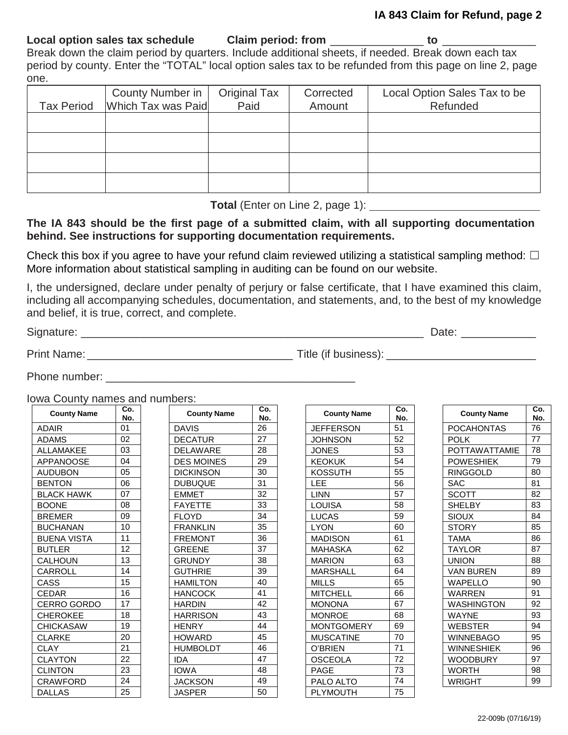#### **IA 843 Claim for Refund, page 2**

**Local option sales tax schedule Claim period: from** \_\_\_\_\_\_\_\_\_\_\_\_\_\_\_ **to** \_\_\_\_\_\_\_\_\_\_\_\_\_\_\_ Break down the claim period by quarters. Include additional sheets, if needed. Break down each tax period by county. Enter the "TOTAL" local option sales tax to be refunded from this page on line 2, page one.

| County Number in<br>Tax Period   Which Tax was Paid | Original Tax<br>Paid | Corrected<br>Amount | Local Option Sales Tax to be<br>Refunded |
|-----------------------------------------------------|----------------------|---------------------|------------------------------------------|
|                                                     |                      |                     |                                          |
|                                                     |                      |                     |                                          |
|                                                     |                      |                     |                                          |
|                                                     |                      |                     |                                          |

|  | Total (Enter on Line 2, page 1): |  |  |  |
|--|----------------------------------|--|--|--|
|--|----------------------------------|--|--|--|

# **The IA 843 should be the first page of a submitted claim, with all supporting documentation behind. See instructions for supporting documentation requirements.**

Check this box if you agree to have your refund claim reviewed utilizing a statistical sampling method:  $\Box$ More information about statistical sampling in auditing can be found on our website.

I, the undersigned, declare under penalty of perjury or false certificate, that I have examined this claim, including all accompanying schedules, documentation, and statements, and, to the best of my knowledge and belief, it is true, correct, and complete.

Signature: \_\_\_\_\_\_\_\_\_\_\_\_\_\_\_\_\_\_\_\_\_\_\_\_\_\_\_\_\_\_\_\_\_\_\_\_\_\_\_\_\_\_\_\_\_\_\_\_\_\_\_\_\_\_\_ Date: \_\_\_\_\_\_\_\_\_\_\_\_

Print Name: \_\_\_\_\_\_\_\_\_\_\_\_\_\_\_\_\_\_\_\_\_\_\_\_\_\_\_\_\_\_\_\_\_ Title (if business): \_\_\_\_\_\_\_\_\_\_\_\_\_\_\_\_\_\_\_\_\_\_\_\_

Phone number:  $\blacksquare$ 

Iowa County names and numbers:

| <b>County Name</b> | Co.<br>No. | <b>County Name</b> | Co.<br>No. | <b>County Name</b> | Co.<br>No. | <b>County Name</b>   | Co.<br>No. |
|--------------------|------------|--------------------|------------|--------------------|------------|----------------------|------------|
| ADAIR              | 01         | <b>DAVIS</b>       | 26         | <b>JEFFERSON</b>   | 51         | <b>POCAHONTAS</b>    | 76         |
| <b>ADAMS</b>       | 02         | <b>DECATUR</b>     | 27         | <b>JOHNSON</b>     | 52         | <b>POLK</b>          | 77         |
| <b>ALLAMAKEE</b>   | 03         | <b>DELAWARE</b>    | 28         | <b>JONES</b>       | 53         | <b>POTTAWATTAMIE</b> | 78         |
| <b>APPANOOSE</b>   | 04         | <b>DES MOINES</b>  | 29         | <b>KEOKUK</b>      | 54         | <b>POWESHIEK</b>     | 79         |
| <b>AUDUBON</b>     | 05         | <b>DICKINSON</b>   | 30         | <b>KOSSUTH</b>     | 55         | <b>RINGGOLD</b>      | 80         |
| <b>BENTON</b>      | 06         | <b>DUBUQUE</b>     | 31         | <b>LEE</b>         | 56         | <b>SAC</b>           | 81         |
| <b>BLACK HAWK</b>  | 07         | <b>EMMET</b>       | 32         | <b>LINN</b>        | 57         | <b>SCOTT</b>         | 82         |
| <b>BOONE</b>       | 08         | <b>FAYETTE</b>     | 33         | LOUISA             | 58         | <b>SHELBY</b>        | 83         |
| <b>BREMER</b>      | 09         | <b>FLOYD</b>       | 34         | <b>LUCAS</b>       | 59         | <b>SIOUX</b>         | 84         |
| <b>BUCHANAN</b>    | 10         | <b>FRANKLIN</b>    | 35         | <b>LYON</b>        | 60         | <b>STORY</b>         | 85         |
| <b>BUENA VISTA</b> | 11         | <b>FREMONT</b>     | 36         | <b>MADISON</b>     | 61         | <b>TAMA</b>          | 86         |
| <b>BUTLER</b>      | 12         | <b>GREENE</b>      | 37         | <b>MAHASKA</b>     | 62         | <b>TAYLOR</b>        | 87         |
| <b>CALHOUN</b>     | 13         | <b>GRUNDY</b>      | 38         | <b>MARION</b>      | 63         | <b>UNION</b>         | 88         |
| <b>CARROLL</b>     | 14         | <b>GUTHRIE</b>     | 39         | <b>MARSHALL</b>    | 64         | <b>VAN BUREN</b>     | 89         |
| CASS               | 15         | <b>HAMILTON</b>    | 40         | <b>MILLS</b>       | 65         | <b>WAPELLO</b>       | 90         |
| <b>CEDAR</b>       | 16         | <b>HANCOCK</b>     | 41         | <b>MITCHELL</b>    | 66         | <b>WARREN</b>        | 91         |
| <b>CERRO GORDO</b> | 17         | <b>HARDIN</b>      | 42         | <b>MONONA</b>      | 67         | <b>WASHINGTON</b>    | 92         |
| <b>CHEROKEE</b>    | 18         | <b>HARRISON</b>    | 43         | <b>MONROE</b>      | 68         | <b>WAYNE</b>         | 93         |
| <b>CHICKASAW</b>   | 19         | <b>HENRY</b>       | 44         | <b>MONTGOMERY</b>  | 69         | <b>WEBSTER</b>       | 94         |
| <b>CLARKE</b>      | 20         | <b>HOWARD</b>      | 45         | <b>MUSCATINE</b>   | 70         | <b>WINNEBAGO</b>     | 95         |
| <b>CLAY</b>        | 21         | <b>HUMBOLDT</b>    | 46         | O'BRIEN            | 71         | <b>WINNESHIEK</b>    | 96         |
| <b>CLAYTON</b>     | 22         | <b>IDA</b>         | 47         | <b>OSCEOLA</b>     | 72         | <b>WOODBURY</b>      | 97         |
| <b>CLINTON</b>     | 23         | <b>IOWA</b>        | 48         | <b>PAGE</b>        | 73         | <b>WORTH</b>         | 98         |
| <b>CRAWFORD</b>    | 24         | <b>JACKSON</b>     | 49         | PALO ALTO          | 74         | <b>WRIGHT</b>        | 99         |
| <b>DALLAS</b>      | 25         | <b>JASPER</b>      | 50         | <b>PLYMOUTH</b>    | 75         |                      |            |